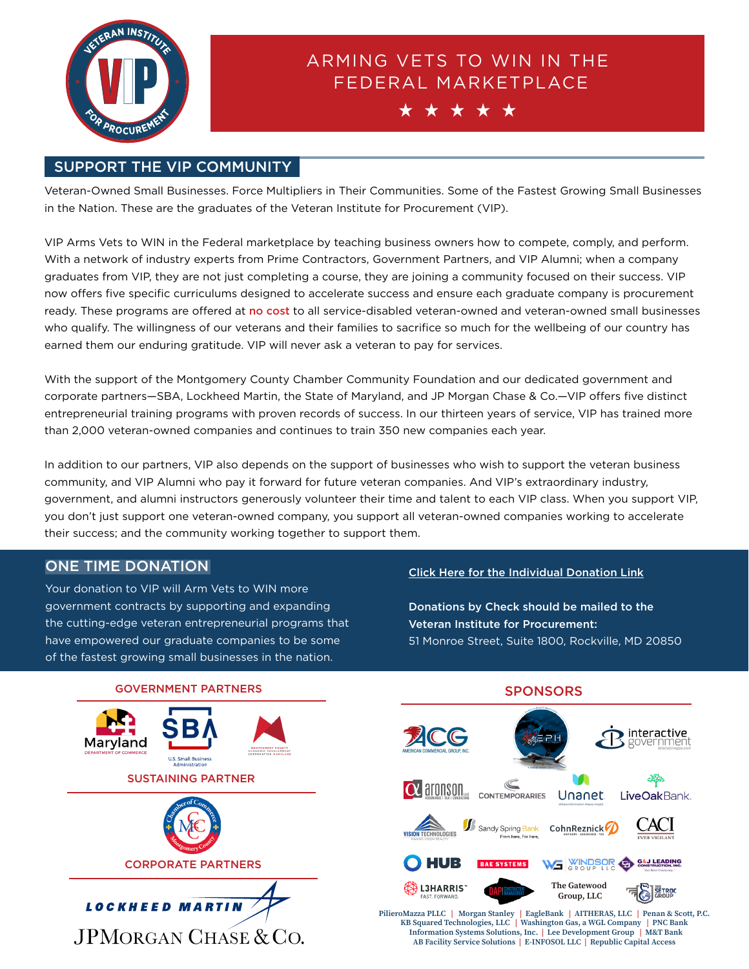

# ARMING VETS TO WIN IN THE FEDERAL MARKETPLACE



#### SUPPORT THE VIP COMMUNITY

Veteran-Owned Small Businesses. Force Multipliers in Their Communities. Some of the Fastest Growing Small Businesses in the Nation. These are the graduates of the Veteran Institute for Procurement (VIP).

VIP Arms Vets to WIN in the Federal marketplace by teaching business owners how to compete, comply, and perform. With a network of industry experts from Prime Contractors, Government Partners, and VIP Alumni; when a company graduates from VIP, they are not just completing a course, they are joining a community focused on their success. VIP now offers five specific curriculums designed to accelerate success and ensure each graduate company is procurement ready. These programs are offered at no cost to all service-disabled veteran-owned and veteran-owned small businesses who qualify. The willingness of our veterans and their families to sacrifice so much for the wellbeing of our country has earned them our enduring gratitude. VIP will never ask a veteran to pay for services.

With the support of the Montgomery County Chamber Community Foundation and our dedicated government and corporate partners—SBA, Lockheed Martin, the State of Maryland, and JP Morgan Chase & Co.—VIP offers five distinct entrepreneurial training programs with proven records of success. In our thirteen years of service, VIP has trained more than 2,000 veteran-owned companies and continues to train 350 new companies each year.

In addition to our partners, VIP also depends on the support of businesses who wish to support the veteran business community, and VIP Alumni who pay it forward for future veteran companies. And VIP's extraordinary industry, government, and alumni instructors generously volunteer their time and talent to each VIP class. When you support VIP, you don't just support one veteran-owned company, you support all veteran-owned companies working to accelerate their success; and the community working together to support them.

Your donation to VIP will Arm Vets to WIN more government contracts by supporting and expanding the cutting-edge veteran entrepreneurial programs that have empowered our graduate companies to be some of the fastest growing small businesses in the nation.

## ONE TIME DONATION Click Here for the [Individual Donation Link](https://web.mcccmd.com/WEBINPUT/OnlineGiving.aspx)

Donations by Check should be mailed to the Veteran Institute for Procurement: 51 Monroe Street, Suite 1800, Rockville, MD 20850

interactive

LiveOakBank.

ACI

**G&J LEADING** 

**SETROC** 

 $\exists$